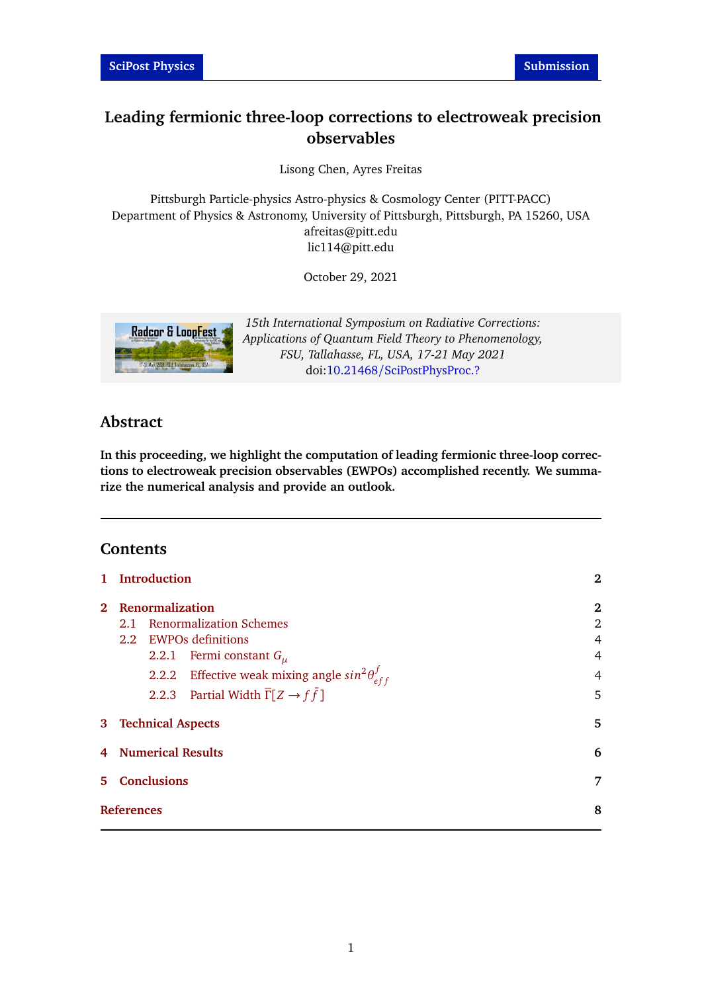# **Leading fermionic three-loop corrections to electroweak precision observables**

Lisong Chen, Ayres Freitas

Pittsburgh Particle-physics Astro-physics & Cosmology Center (PITT-PACC) Department of Physics & Astronomy, University of Pittsburgh, Pittsburgh, PA 15260, USA afreitas@pitt.edu lic114@pitt.edu

October 29, 2021



*15th International Symposium on Radiative Corrections: Applications of Quantum Field Theory to Phenomenology, FSU, Tallahasse, FL, USA, 17-21 May 2021* doi:10.21468/[SciPostPhysProc.?](http://dx.doi.org/10.21468/SciPostPhysProc.?)

# **Abstract**

**In this proceeding, we highlight the computation of leading fermionic three-loop corrections to electroweak precision observables (EWPOs) accomplished recently. We summarize the numerical analysis and provide an outlook.**

# **Contents**

| $\mathbf{1}$ | <b>Introduction</b> |                            |                                                                                                                                                                                                                       | $\mathbf{2}$               |
|--------------|---------------------|----------------------------|-----------------------------------------------------------------------------------------------------------------------------------------------------------------------------------------------------------------------|----------------------------|
| $2^{\circ}$  |                     | Renormalization            | 2.1 Renormalization Schemes<br>2.2 EWPOs definitions<br>2.2.1 Fermi constant $G_u$<br>2.2.2 Effective weak mixing angle $sin^2\theta_{eff}^f$<br>2.2.3 Partial Width $\overline{\Gamma}[Z \rightarrow f\overline{f}]$ | 2<br>2<br>4<br>4<br>4<br>5 |
|              |                     | <b>3</b> Technical Aspects |                                                                                                                                                                                                                       | 5                          |
| 4            |                     | <b>Numerical Results</b>   |                                                                                                                                                                                                                       | 6                          |
| 5.           |                     | <b>Conclusions</b>         |                                                                                                                                                                                                                       | 7                          |
|              | <b>References</b>   |                            |                                                                                                                                                                                                                       | 8                          |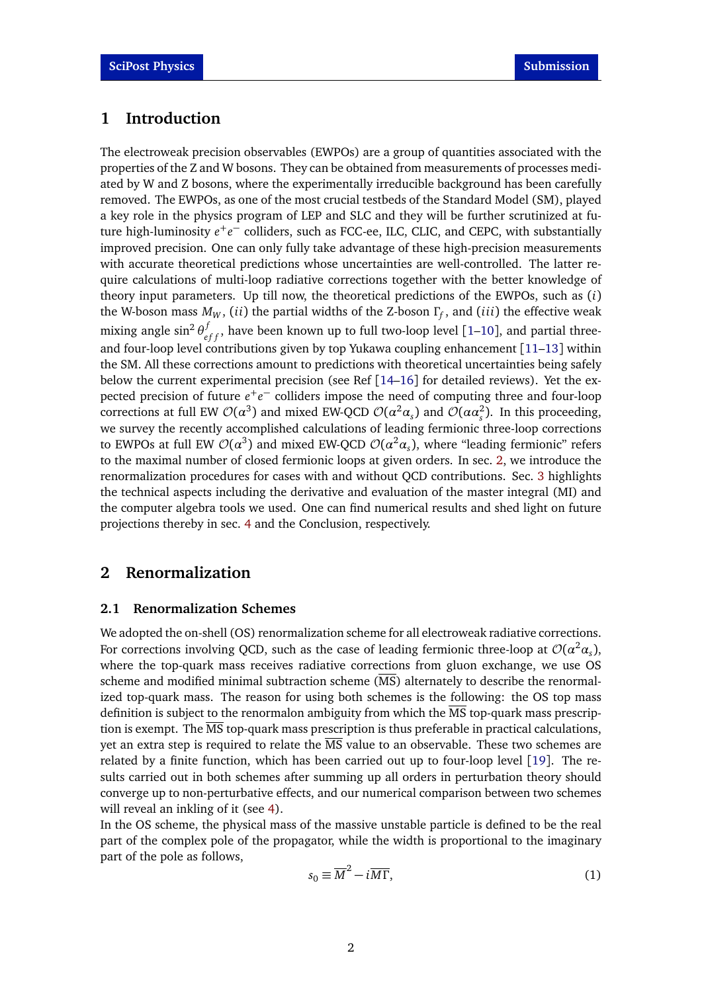### <span id="page-1-0"></span>**1 Introduction**

The electroweak precision observables (EWPOs) are a group of quantities associated with the properties of the Z and W bosons. They can be obtained from measurements of processes mediated by W and Z bosons, where the experimentally irreducible background has been carefully removed. The EWPOs, as one of the most crucial testbeds of the Standard Model (SM), played a key role in the physics program of LEP and SLC and they will be further scrutinized at future high-luminosity  $e^+e^-$  colliders, such as FCC-ee, ILC, CLIC, and CEPC, with substantially improved precision. One can only fully take advantage of these high-precision measurements with accurate theoretical predictions whose uncertainties are well-controlled. The latter require calculations of multi-loop radiative corrections together with the better knowledge of theory input parameters. Up till now, the theoretical predictions of the EWPOs, such as (*i*) the W-boson mass *M<sup>W</sup>* , (*ii*) the partial widths of the Z-boson *Γ<sup>f</sup>* , and (*iii*) the effective weak mixing angle  $\sin^2\theta_{eff}^f$ , have been known up to full two-loop level [[1](#page-7-0)[–10](#page-8-0)], and partial threeand four-loop level contributions given by top Yukawa coupling enhancement [[11](#page-8-1)[–13](#page-8-2)] within the SM. All these corrections amount to predictions with theoretical uncertainties being safely below the current experimental precision (see Ref  $[14–16]$  $[14–16]$  $[14–16]$  $[14–16]$  for detailed reviews). Yet the expected precision of future  $e^+e^-$  colliders impose the need of computing three and four-loop corrections at full EW  $\mathcal{O}(\alpha^3)$  and mixed EW-QCD  $\mathcal{O}(\alpha^2\alpha_s)$  and  $\mathcal{O}(\alpha\alpha_s^2)$ . In this proceeding, we survey the recently accomplished calculations of leading fermionic three-loop corrections to EWPOs at full EW  $\mathcal{O}(\alpha^3)$  and mixed EW-QCD  $\mathcal{O}(\alpha^2\alpha_s)$ , where "leading fermionic" refers to the maximal number of closed fermionic loops at given orders. In sec. [2,](#page-1-1) we introduce the renormalization procedures for cases with and without QCD contributions. Sec. [3](#page-4-1) highlights the technical aspects including the derivative and evaluation of the master integral (MI) and the computer algebra tools we used. One can find numerical results and shed light on future projections thereby in sec. [4](#page-5-0) and the Conclusion, respectively.

### <span id="page-1-1"></span>**2 Renormalization**

### <span id="page-1-2"></span>**2.1 Renormalization Schemes**

We adopted the on-shell (OS) renormalization scheme for all electroweak radiative corrections. For corrections involving QCD, such as the case of leading fermionic three-loop at  ${\cal O}(\alpha^2\alpha_{\rm s})$ , where the top-quark mass receives radiative corrections from gluon exchange, we use OS scheme and modified minimal subtraction scheme (MS) alternately to describe the renormalized top-quark mass. The reason for using both schemes is the following: the OS top mass definition is subject to the renormalon ambiguity from which the MS top-quark mass prescription is exempt. The MS top-quark mass prescription is thus preferable in practical calculations, yet an extra step is required to relate the  $\overline{MS}$  value to an observable. These two schemes are related by a finite function, which has been carried out up to four-loop level [[19](#page-8-5)]. The results carried out in both schemes after summing up all orders in perturbation theory should converge up to non-perturbative effects, and our numerical comparison between two schemes will reveal an inkling of it (see [4\)](#page-5-0).

In the OS scheme, the physical mass of the massive unstable particle is defined to be the real part of the complex pole of the propagator, while the width is proportional to the imaginary part of the pole as follows,

$$
s_0 \equiv \overline{M}^2 - i\overline{M}\overline{\Gamma},\tag{1}
$$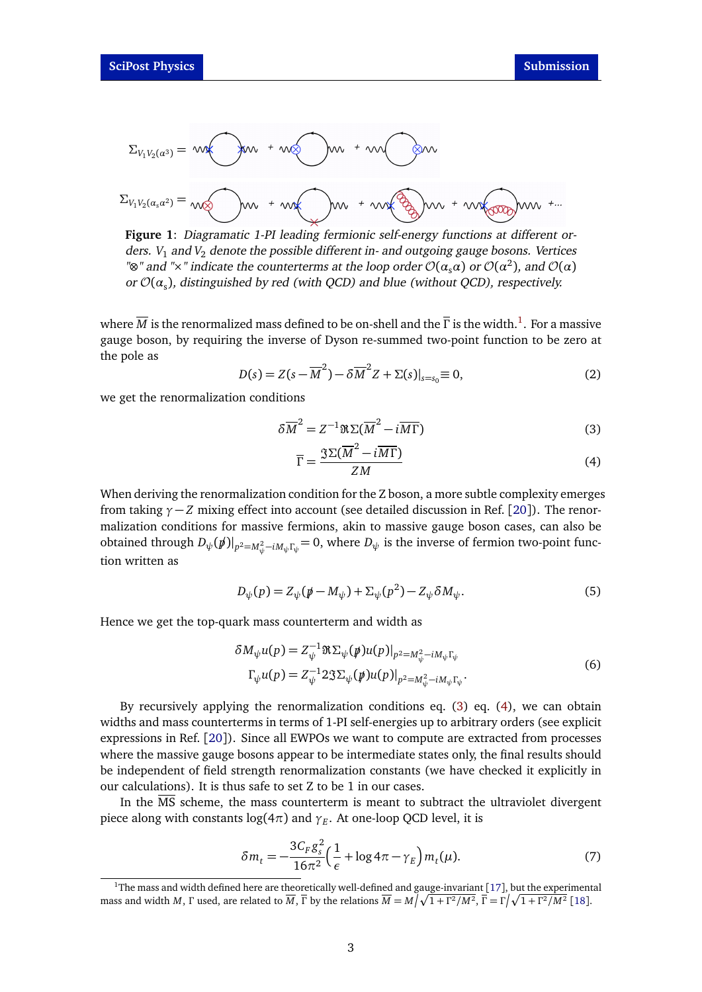$$
\Sigma_{V_1V_2(\alpha^3)} = \mathsf{wk} \quad \text{for} \quad + \mathsf{w} \quad \text{for} \quad + \mathsf{w} \quad \text{for} \quad \text{for} \quad \text{for} \quad \text{for} \quad \text{for} \quad \text{for} \quad \text{for} \quad \text{for} \quad \text{for} \quad \text{for} \quad \text{for} \quad \text{for} \quad \text{for} \quad \text{for} \quad \text{for} \quad \text{for} \quad \text{for} \quad \text{for} \quad \text{for} \quad \text{for} \quad \text{for} \quad \text{for} \quad \text{for} \quad \text{for} \quad \text{for} \quad \text{for} \quad \text{for} \quad \text{for} \quad \text{for} \quad \text{for} \quad \text{for} \quad \text{for} \quad \text{for} \quad \text{for} \quad \text{for} \quad \text{for} \quad \text{for} \quad \text{for} \quad \text{for} \quad \text{for} \quad \text{for} \quad \text{for} \quad \text{for} \quad \text{for} \quad \text{for} \quad \text{for} \quad \text{for} \quad \text{for} \quad \text{for} \quad \text{for} \quad \text{for} \quad \text{for} \quad \text{for} \quad \text{for} \quad \text{for} \quad \text{for} \quad \text{for} \quad \text{for} \quad \text{for} \quad \text{for} \quad \text{for} \quad \text{for} \quad \text{for} \quad \text{for} \quad \text{for} \quad \text{for} \quad \text{for} \quad \text{for} \quad \text{for} \quad \text{for} \quad \text{for} \quad \text{for} \quad \text{for} \quad \text{for} \quad \text{for} \quad \text{for} \quad \text{for} \quad \text{for} \quad \text{for} \quad \text{for} \quad \text{for} \quad \text{for} \quad \text{for} \quad \text{for} \quad \text{for} \quad \text{for} \quad \text{for} \quad \text{for} \quad \text{for} \quad \text{for} \quad \text{for} \quad \text{for} \quad \text{for} \quad \text{for} \quad \text{for} \quad \text{for} \quad \text{for} \quad \text{for} \quad \text{for} \quad \text{for} \quad \text{for}
$$

**Figure 1**: Diagramatic 1-PI leading fermionic self-energy functions at different orders.  $V_1$  and  $V_2$  denote the possible different in- and outgoing gauge bosons. Vertices "⊗" and "×" indicate the counterterms at the loop order  $\mathcal{O}(\alpha_s\alpha)$  or  $\mathcal{O}(\alpha^2)$ , and  $\mathcal{O}(\alpha)$ or O(*α*<sup>s</sup> ), distinguished by red (with QCD) and blue (without QCD), respectively.

where  $\overline{M}$  is the renormalized mass defined to be on-shell and the  $\overline{\Gamma}$  is the width. $^1$  $^1$ . For a massive gauge boson, by requiring the inverse of Dyson re-summed two-point function to be zero at the pole as

$$
D(s) = Z(s - \overline{M}^2) - \delta \overline{M}^2 Z + \Sigma(s)|_{s=s_0} \equiv 0,
$$
\n(2)

we get the renormalization conditions

$$
\delta \overline{M}^2 = Z^{-1} \Re \Sigma (\overline{M}^2 - i\overline{M}\Gamma) \tag{3}
$$

<span id="page-2-2"></span><span id="page-2-1"></span>
$$
\overline{\Gamma} = \frac{\Im \Sigma(\overline{M}^2 - i\overline{M}\Gamma)}{ZM} \tag{4}
$$

When deriving the renormalization condition for the Z boson, a more subtle complexity emerges from taking  $\gamma - Z$  mixing effect into account (see detailed discussion in Ref. [[20](#page-9-0)]). The renormalization conditions for massive fermions, akin to massive gauge boson cases, can also be obtained through  $D_{\psi}(\cancel{p})|_{p^2=M_{\psi}^2-iM_{\psi}\Gamma_{\psi}}=0$ , where  $D_{\psi}$  is the inverse of fermion two-point function written as

$$
D_{\psi}(p) = Z_{\psi}(\mathbf{p} - M_{\psi}) + \Sigma_{\psi}(p^{2}) - Z_{\psi}\delta M_{\psi}.
$$
\n<sup>(5)</sup>

Hence we get the top-quark mass counterterm and width as

$$
\delta M_{\psi} u(p) = Z_{\psi}^{-1} \Re \Sigma_{\psi} (\rlap{/} \psi) u(p)|_{p^2 = M_{\psi}^2 - iM_{\psi} \Gamma_{\psi}}
$$
\n
$$
\Gamma_{\psi} u(p) = Z_{\psi}^{-1} 2 \Im \Sigma_{\psi} (\rlap{/} \psi) u(p)|_{p^2 = M_{\psi}^2 - iM_{\psi} \Gamma_{\psi}}.
$$
\n(6)

By recursively applying the renormalization conditions eq. [\(3\)](#page-2-1) eq. [\(4\)](#page-2-2), we can obtain widths and mass counterterms in terms of 1-PI self-energies up to arbitrary orders (see explicit expressions in Ref. [[20](#page-9-0)]). Since all EWPOs we want to compute are extracted from processes where the massive gauge bosons appear to be intermediate states only, the final results should be independent of field strength renormalization constants (we have checked it explicitly in our calculations). It is thus safe to set Z to be 1 in our cases.

In the  $\overline{\text{MS}}$  scheme, the mass counterterm is meant to subtract the ultraviolet divergent piece along with constants log(4*π*) and *γ<sup>E</sup>* . At one-loop QCD level, it is

$$
\delta m_t = -\frac{3C_F g_s^2}{16\pi^2} \left(\frac{1}{\epsilon} + \log 4\pi - \gamma_E\right) m_t(\mu). \tag{7}
$$

<span id="page-2-0"></span><sup>&</sup>lt;sup>1</sup>The mass and width defined here are theoretically well-defined and gauge-invariant [[17](#page-8-6)], but the experimental mass and width *M* ,  $\Gamma$  used, are related to  $\overline{M}$  ,  $\overline{\Gamma}$  by the relations  $\overline{M}=M\sqrt{1+\Gamma^2/M^2}$ ,  $\overline{\Gamma}=\Gamma\sqrt{1+\Gamma^2/M^2}$  [[18](#page-8-7)].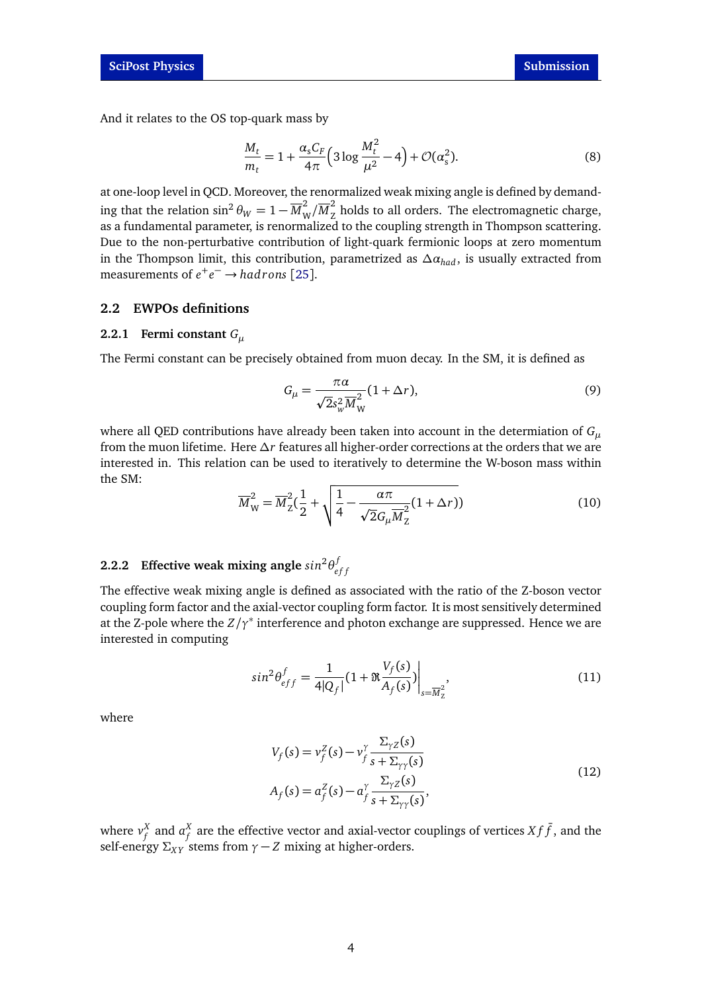And it relates to the OS top-quark mass by

$$
\frac{M_t}{m_t} = 1 + \frac{\alpha_s C_F}{4\pi} \Big( 3 \log \frac{M_t^2}{\mu^2} - 4 \Big) + \mathcal{O}(\alpha_s^2). \tag{8}
$$

at one-loop level in QCD. Moreover, the renormalized weak mixing angle is defined by demanding that the relation  $\sin^2\theta_W=1-\overline{M}_V^2$  $\frac{2}{W}/\overline{M}_{Z}^{2}$  $\frac{1}{2}$  holds to all orders. The electromagnetic charge, as a fundamental parameter, is renormalized to the coupling strength in Thompson scattering. Due to the non-perturbative contribution of light-quark fermionic loops at zero momentum in the Thompson limit, this contribution, parametrized as  $\Delta a_{had}$ , is usually extracted from measurements of  $e^+e^- \rightarrow hadrons$  [[25](#page-9-1)].

### <span id="page-3-0"></span>**2.2 EWPOs definitions**

### <span id="page-3-1"></span>**2.2.1 Fermi constant** *G<sup>µ</sup>*

The Fermi constant can be precisely obtained from muon decay. In the SM, it is defined as

$$
G_{\mu} = \frac{\pi \alpha}{\sqrt{2} s_{w}^{2} \overline{M}_{W}^{2}} (1 + \Delta r),
$$
\n(9)

where all QED contributions have already been taken into account in the determiation of *G<sup>µ</sup>* from the muon lifetime. Here *∆r* features all higher-order corrections at the orders that we are interested in. This relation can be used to iteratively to determine the W-boson mass within the SM:

$$
\overline{M}_{\rm W}^2 = \overline{M}_{\rm Z}^2 \left(\frac{1}{2} + \sqrt{\frac{1}{4} - \frac{\alpha \pi}{\sqrt{2} G_{\mu} \overline{M}_{\rm Z}^2} (1 + \Delta r)\right) \tag{10}
$$

#### <span id="page-3-2"></span>**2.2.2 Effective weak mixing angle**  $sin^2\theta$ *e f f*

The effective weak mixing angle is defined as associated with the ratio of the Z-boson vector coupling form factor and the axial-vector coupling form factor. It is most sensitively determined at the Z-pole where the *Z/γ*<sup>∗</sup> interference and photon exchange are suppressed. Hence we are interested in computing

$$
\sin^2 \theta_{eff}^f = \frac{1}{4|Q_f|} (1 + \Re \frac{V_f(s)}{A_f(s)}) \bigg|_{s = \overline{M}_2^2},\tag{11}
$$

where

$$
V_f(s) = v_f^Z(s) - v_f^Y \frac{\Sigma_{\gamma Z}(s)}{s + \Sigma_{\gamma \gamma}(s)}
$$
  
\n
$$
A_f(s) = a_f^Z(s) - a_f^Y \frac{\Sigma_{\gamma Z}(s)}{s + \Sigma_{\gamma \gamma}(s)},
$$
\n(12)

where  $v_{\epsilon}^X$  $_{f}^{X}$  and  $a_{f}^{X}$  $\frac{X}{f}$  are the effective vector and axial-vector couplings of vertices  $X f \bar{f}$  , and the self-energy  $\Sigma_{XY}$  stems from  $\gamma - Z$  mixing at higher-orders.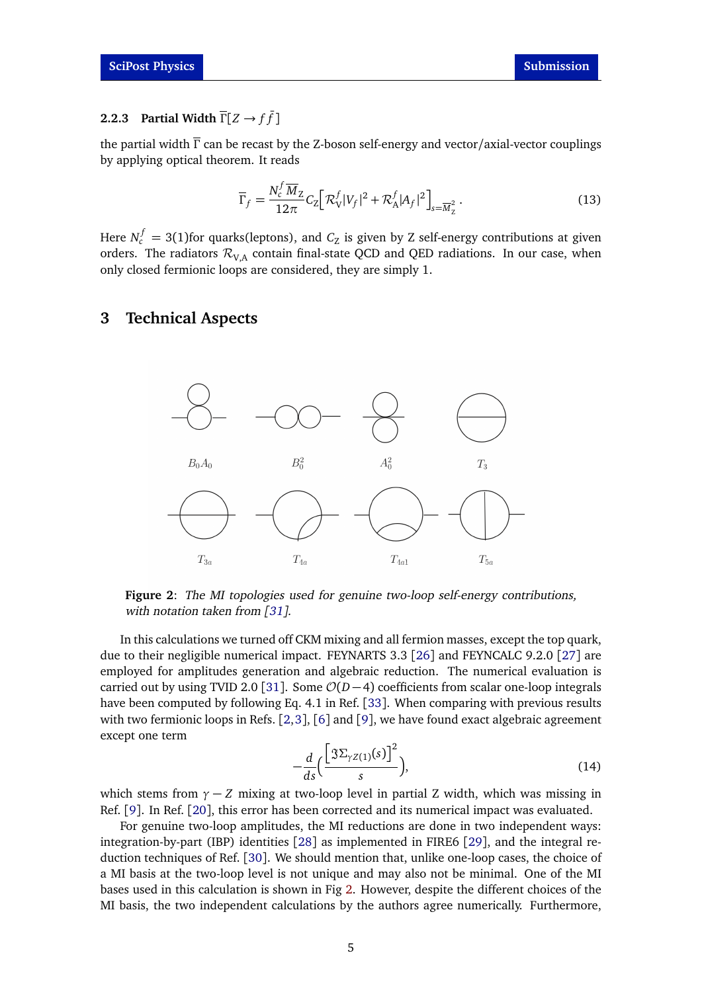# <span id="page-4-0"></span>**2.2.3 Partial Width**  $\overline{\Gamma}[Z \rightarrow f\overline{f}]$

the partial width  $\overline{\Gamma}$  can be recast by the Z-boson self-energy and vector/axial-vector couplings by applying optical theorem. It reads

$$
\overline{\Gamma}_f = \frac{N_c^f \overline{M}_Z}{12\pi} C_Z \Big[ \mathcal{R}_V^f |V_f|^2 + \mathcal{R}_A^f |A_f|^2 \Big]_{s = \overline{M}_Z^2} \,. \tag{13}
$$

Here  $N_c^f = 3(1)$ for quarks(leptons), and  $C_{\rm Z}$  is given by Z self-energy contributions at given orders. The radiators  $\mathcal{R}_{VA}$  contain final-state QCD and QED radiations. In our case, when only closed fermionic loops are considered, they are simply 1.

### <span id="page-4-2"></span><span id="page-4-1"></span>**3 Technical Aspects**



**Figure 2**: The MI topologies used for genuine two-loop self-energy contributions, with notation taken from [[31](#page-9-2)].

In this calculations we turned off CKM mixing and all fermion masses, except the top quark, due to their negligible numerical impact. FEYNARTS 3.3 [[26](#page-9-3)] and FEYNCALC 9.2.0 [[27](#page-9-4)] are employed for amplitudes generation and algebraic reduction. The numerical evaluation is carried out by using TVID 2.0 [[31](#page-9-2)]. Some  $O(D-4)$  coefficients from scalar one-loop integrals have been computed by following Eq. 4.1 in Ref. [[33](#page-9-5)]. When comparing with previous results with two fermionic loops in Refs. [[2,](#page-7-1)[3](#page-7-2)], [[6](#page-7-3)] and [[9](#page-8-8)], we have found exact algebraic agreement except one term

<span id="page-4-3"></span>
$$
-\frac{d}{ds}\left(\frac{\left[\Im\Sigma_{\gamma Z(1)}(s)\right]^2}{s}\right),\tag{14}
$$

which stems from  $\gamma$  − *Z* mixing at two-loop level in partial *Z* width, which was missing in Ref. [[9](#page-8-8)]. In Ref. [[20](#page-9-0)], this error has been corrected and its numerical impact was evaluated.

For genuine two-loop amplitudes, the MI reductions are done in two independent ways: integration-by-part (IBP) identities [[28](#page-9-6)] as implemented in FIRE6 [[29](#page-9-7)], and the integral reduction techniques of Ref. [[30](#page-9-8)]. We should mention that, unlike one-loop cases, the choice of a MI basis at the two-loop level is not unique and may also not be minimal. One of the MI bases used in this calculation is shown in Fig [2.](#page-4-2) However, despite the different choices of the MI basis, the two independent calculations by the authors agree numerically. Furthermore,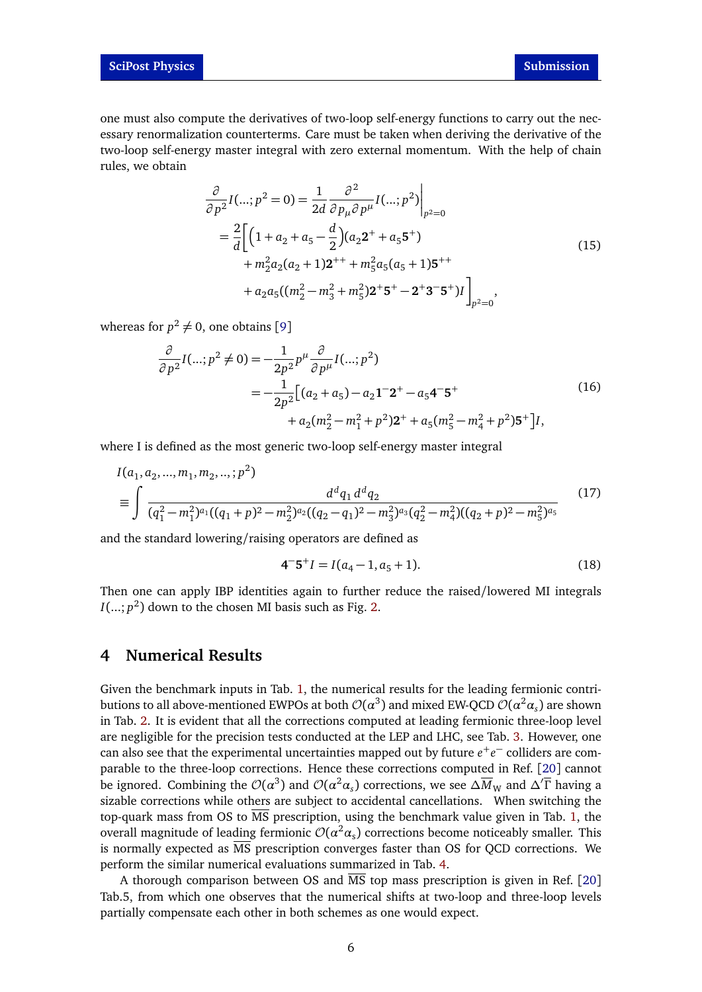one must also compute the derivatives of two-loop self-energy functions to carry out the necessary renormalization counterterms. Care must be taken when deriving the derivative of the two-loop self-energy master integral with zero external momentum. With the help of chain rules, we obtain

$$
\frac{\partial}{\partial p^2} I(...; p^2 = 0) = \frac{1}{2d} \frac{\partial^2}{\partial p_\mu \partial p^\mu} I(...; p^2) \Big|_{p^2=0}
$$
  
\n
$$
= \frac{2}{d} \Big[ \Big( 1 + a_2 + a_5 - \frac{d}{2} \Big) (a_2 2^+ + a_5 5^+) + m_2^2 a_2 (a_2 + 1) 2^{++} + m_5^2 a_5 (a_5 + 1) 5^{++} + a_2 a_5 ((m_2^2 - m_3^2 + m_5^2) 2^+ 5^+ - 2^+ 3^- 5^+) I \Big]_{p^2=0},
$$
\n(15)

whereas for  $p^2 \neq 0$ , one obtains [[9](#page-8-8)]

$$
\frac{\partial}{\partial p^2} I(...; p^2 \neq 0) = -\frac{1}{2p^2} p^{\mu} \frac{\partial}{\partial p^{\mu}} I(...; p^2)
$$
  
=  $-\frac{1}{2p^2} \Big[ (a_2 + a_5) - a_2 \mathbf{1}^{-} \mathbf{2}^{+} - a_5 \mathbf{4}^{-} \mathbf{5}^{+} + a_2 (m_2^2 - m_1^2 + p^2) \mathbf{2}^{+} + a_5 (m_5^2 - m_4^2 + p^2) \mathbf{5}^{+} \Big] I,$  (16)

where I is defined as the most generic two-loop self-energy master integral

$$
I(a_1, a_2, ..., m_1, m_2, ..., p^2)
$$
  
\n
$$
\equiv \int \frac{d^d q_1 d^d q_2}{(q_1^2 - m_1^2)^{a_1}((q_1 + p)^2 - m_2^2)^{a_2}((q_2 - q_1)^2 - m_3^2)^{a_3}(q_2^2 - m_4^2)((q_2 + p)^2 - m_5^2)^{a_5}}
$$
\n(17)

and the standard lowering/raising operators are defined as

$$
4^-5^+I = I(a_4 - 1, a_5 + 1). \tag{18}
$$

Then one can apply IBP identities again to further reduce the raised/lowered MI integrals  $I(...; p^2)$  down to the chosen MI basis such as Fig. [2.](#page-4-2)

### <span id="page-5-0"></span>**4 Numerical Results**

Given the benchmark inputs in Tab. [1,](#page-6-1) the numerical results for the leading fermionic contributions to all above-mentioned EWPOs at both  ${\cal O}(\alpha^3)$  and mixed EW-QCD  ${\cal O}(\alpha^2\alpha_s)$  are shown in Tab. [2.](#page-6-2) It is evident that all the corrections computed at leading fermionic three-loop level are negligible for the precision tests conducted at the LEP and LHC, see Tab. [3.](#page-7-4) However, one can also see that the experimental uncertainties mapped out by future *e* +*e* <sup>−</sup> colliders are comparable to the three-loop corrections. Hence these corrections computed in Ref. [[20](#page-9-0)] cannot be ignored. Combining the  $\mathcal{O}(\alpha^3)$  and  $\mathcal{O}(\alpha^2\alpha_s)$  corrections, we see  $\Delta \overline{M}_{\rm W}$  and  $\Delta' \overline{\Gamma}$  having a sizable corrections while others are subject to accidental cancellations. When switching the top-quark mass from OS to  $\overline{MS}$  prescription, using the benchmark value given in Tab. [1,](#page-6-1) the overall magnitude of leading fermionic  $\mathcal{O}(\alpha^2\alpha_{\rm s})$  corrections become noticeably smaller. This is normally expected as MS prescription converges faster than OS for QCD corrections. We perform the similar numerical evaluations summarized in Tab. [4.](#page-7-5)

A thorough comparison between OS and MS top mass prescription is given in Ref. [[20](#page-9-0)] Tab.5, from which one observes that the numerical shifts at two-loop and three-loop levels partially compensate each other in both schemes as one would expect.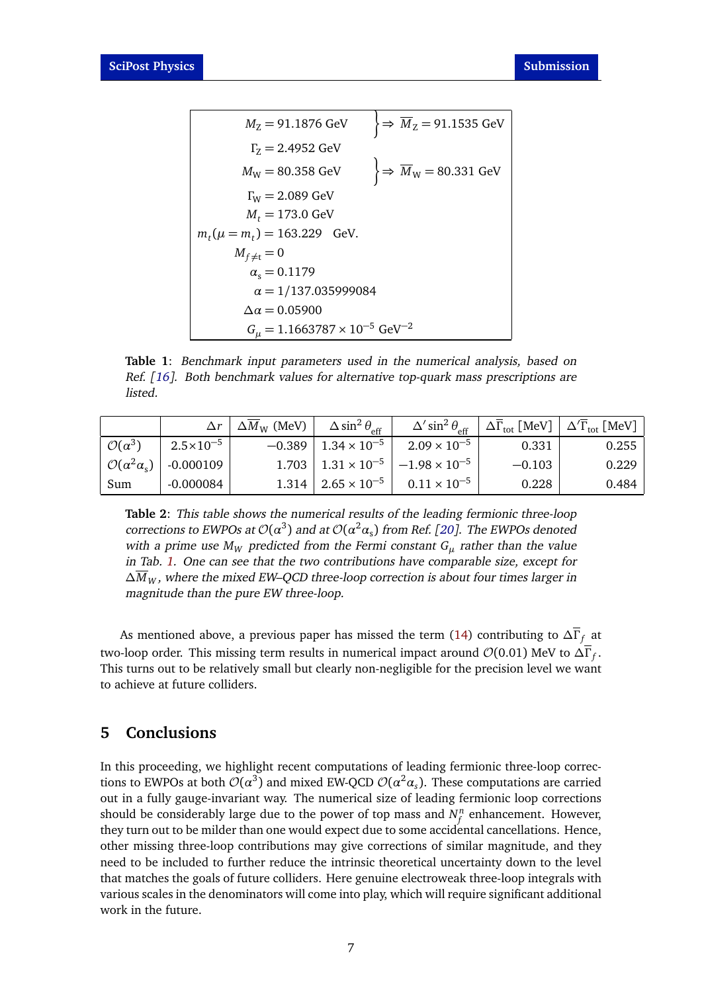<span id="page-6-1"></span>
$$
M_Z = 91.1876 \text{ GeV}
$$
\n
$$
\left.\begin{aligned}\n &\frac{1}{2} = 91.1535 \text{ GeV} \\
&\frac{1}{2} = 2.4952 \text{ GeV} \\
&\frac{1}{2} = 80.358 \text{ GeV} \\
&\frac{1}{2} \Rightarrow \overline{M}_W = 80.331 \text{ GeV} \\
&\frac{1}{2} \Rightarrow \overline{M}_W = 80.331 \text{ GeV} \\
&\frac{1}{2} \Rightarrow \overline{M}_W = 80.331 \text{ GeV} \\
&\frac{1}{2} \Rightarrow \overline{M}_W = 80.331 \text{ GeV} \\
&\frac{1}{2} \Rightarrow \overline{M}_W = 80.331 \text{ GeV} \\
&\frac{1}{2} \Rightarrow \overline{M}_W = 80.331 \text{ GeV} \\
&\frac{1}{2} \Rightarrow \overline{M}_W = 80.331 \text{ GeV} \\
&\frac{1}{2} \Rightarrow \overline{M}_W = 80.331 \text{ GeV} \\
&\frac{1}{2} \Rightarrow \overline{M}_W = 80.331 \text{ GeV} \\
&\frac{1}{2} \Rightarrow \overline{M}_W = 80.331 \text{ GeV} \\
&\frac{1}{2} \Rightarrow \overline{M}_W = 80.331 \text{ GeV} \\
&\frac{1}{2} \Rightarrow \overline{M}_W = 80.331 \text{ GeV} \\
&\frac{1}{2} \Rightarrow \overline{M}_W = 80.331 \text{ GeV} \\
&\frac{1}{2} \Rightarrow \overline{M}_W = 80.331 \text{ GeV} \\
&\frac{1}{2} \Rightarrow \overline{M}_W = 80.331 \text{ GeV} \\
&\frac{1}{2} \Rightarrow \overline{M}_W = 80.331 \text{ GeV} \\
&\frac{1}{2} \Rightarrow \overline{M}_W = 80.331 \text{ GeV} \\
&\frac{1}{2} \Rightarrow \overline{M}_W = 80.331 \text{ GeV} \\
&\frac{1}{2} \Rightarrow \overline{M}_W = 80.331 \text{ GeV} \\
&\frac{1}{2} \Rightarrow \overline{M}_W = 80.331
$$

**Table 1**: Benchmark input parameters used in the numerical analysis, based on Ref. [[16](#page-8-4)]. Both benchmark values for alternative top-quark mass prescriptions are listed.

<span id="page-6-2"></span>

|                             |                      | $\Delta r \mid \Delta M_W$ (MeV) | $\Delta \sin^2 \theta_{\text{eff}}$ | $\Delta'$ sin <sup>2</sup> $\theta_{\text{eff}}$ |          | $\left\langle \right. \, \Delta \overline{\Gamma}_{\rm tot} \left[ \,{\rm MeV} \right] \, \left. \right  \, \Delta' \overline{\Gamma}_{\rm tot} \left[ \,{\rm MeV} \right] \, .$ |
|-----------------------------|----------------------|----------------------------------|-------------------------------------|--------------------------------------------------|----------|----------------------------------------------------------------------------------------------------------------------------------------------------------------------------------|
| $\mathcal{O}(\alpha^3)$     | $2.5 \times 10^{-5}$ | $-0.389$                         | $1.34 \times 10^{-5}$               | $2.09 \times 10^{-5}$                            | 0.331    | 0.255                                                                                                                                                                            |
| $O(\alpha^2 \alpha_s)^{-1}$ | $-0.000109$          |                                  | $1.703$   $1.31 \times 10^{-5}$     | $\vert -1.98\times 10^{-5} \vert$                | $-0.103$ | 0.229                                                                                                                                                                            |
| Sum                         | $-0.000084$          |                                  | $1.314 \div 2.65 \times 10^{-5}$    | $0.11 \times 10^{-5}$                            | 0.228    | 0.484                                                                                                                                                                            |

**Table 2**: This table shows the numerical results of the leading fermionic three-loop corrections to EWPOs at  $\mathcal{O}(\alpha^3)$  and at  $\mathcal{O}(\alpha^2 \alpha_s)$  from Ref. [[20](#page-9-0)]. The EWPOs denoted with a prime use  $M_W$  predicted from the Fermi constant  $G_\mu$  rather than the value in Tab. [1.](#page-6-1) One can see that the two contributions have comparable size, except for *∆M<sup>W</sup>* , where the mixed EW–QCD three-loop correction is about four times larger in magnitude than the pure EW three-loop.

As mentioned above, a previous paper has missed the term [\(14\)](#page-4-3) contributing to  $\Delta \overline{\Gamma}_f$  at two-loop order. This missing term results in numerical impact around  $\mathcal{O}(0.01)$  MeV to  $\Delta\Gamma_f.$ This turns out to be relatively small but clearly non-negligible for the precision level we want to achieve at future colliders.

## <span id="page-6-0"></span>**5 Conclusions**

In this proceeding, we highlight recent computations of leading fermionic three-loop corrections to EWPOs at both  $\mathcal{O}(\alpha^3)$  and mixed EW-QCD  $\mathcal{O}(\alpha^2\alpha_s)$ . These computations are carried out in a fully gauge-invariant way. The numerical size of leading fermionic loop corrections should be considerably large due to the power of top mass and  $N_f^n$  $\int\limits_t^n$  enhancement. However, they turn out to be milder than one would expect due to some accidental cancellations. Hence, other missing three-loop contributions may give corrections of similar magnitude, and they need to be included to further reduce the intrinsic theoretical uncertainty down to the level that matches the goals of future colliders. Here genuine electroweak three-loop integrals with various scales in the denominators will come into play, which will require significant additional work in the future.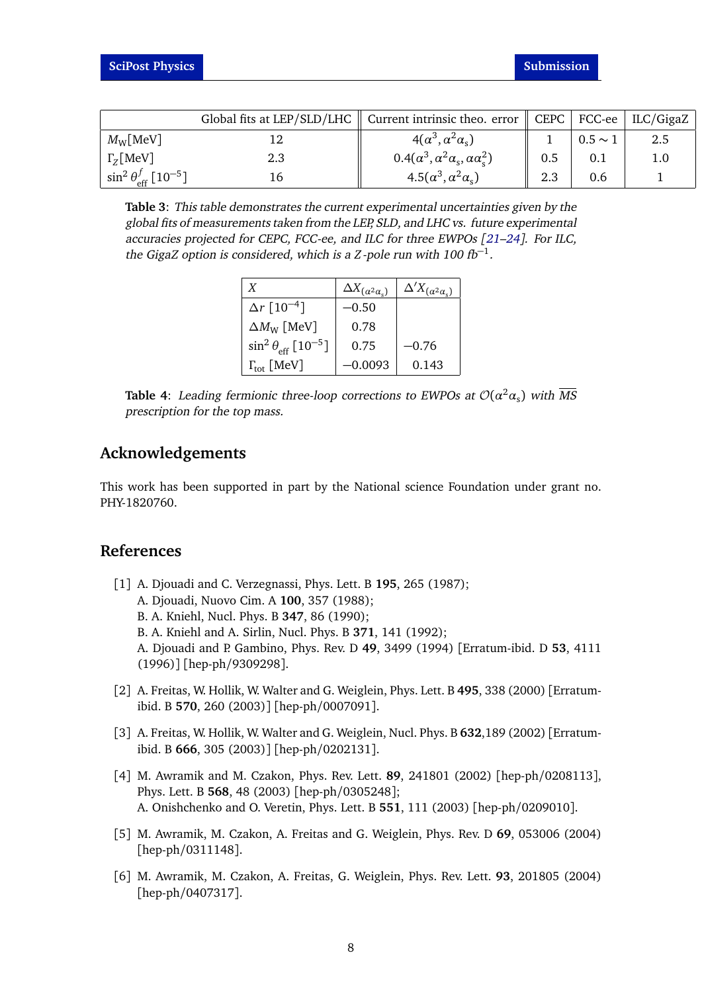<span id="page-7-4"></span>

|                                                   |     | Global fits at LEP/SLD/LHC $\parallel$ Current intrinsic theo. error $\parallel$ CEPC $\parallel$ FCC-ee $\parallel$ ILC/GigaZ |     |              |     |
|---------------------------------------------------|-----|--------------------------------------------------------------------------------------------------------------------------------|-----|--------------|-----|
| $M_{\rm W}$ [MeV]                                 |     | $4(\alpha^3, \alpha^2 \alpha_s)$                                                                                               |     | $0.5 \sim 1$ |     |
| $\Gamma_{7}$ [MeV]                                | 2.3 | $0.4(\alpha^3, \alpha^2\alpha_s, \alpha\alpha_s^2)$                                                                            | 0.5 |              | 1.0 |
| $\sin^2\theta_{\text{eff}}^f$ [10 <sup>-5</sup> ] |     | $4.5(\alpha^3, \alpha^2\alpha_s)$                                                                                              | 2.3 | 0.6          |     |

<span id="page-7-5"></span>**Table 3**: This table demonstrates the current experimental uncertainties given by the global fits of measurements taken from the LEP, SLD, and LHC vs. future experimental accuracies projected for CEPC, FCC-ee, and ILC for three EWPOs [[21–](#page-9-9)[24](#page-9-10)]. For ILC, the GigaZ option is considered, which is a *Z*-pole run with  $100$   $fb^{-1}$ .

| X                                               | $\Delta X_{\left(\alpha^2\alpha_s\right)}$ | $\Delta' X_{(\alpha^2\alpha_s)}$ |
|-------------------------------------------------|--------------------------------------------|----------------------------------|
| $\Delta r$ [10 <sup>-4</sup> ]                  | –0.50                                      |                                  |
| $\Delta M_{\rm W}$ [MeV]                        | 0.78                                       |                                  |
| $\sin^2\theta_{\text{eff}}$ [10 <sup>-5</sup> ] | 0.75                                       | –0.76                            |
| $\Gamma_{\rm tot}$ [MeV]                        | –0.0093                                    | 0.143                            |

**Table 4:** Leading fermionic three-loop corrections to EWPOs at  $\mathcal{O}(\alpha^2\alpha_{\mathrm{s}})$  with  $\overline{\text{MS}}$ prescription for the top mass.

## **Acknowledgements**

This work has been supported in part by the National science Foundation under grant no. PHY-1820760.

## **References**

- <span id="page-7-0"></span>[1] A. Djouadi and C. Verzegnassi, Phys. Lett. B **195**, 265 (1987); A. Djouadi, Nuovo Cim. A **100**, 357 (1988); B. A. Kniehl, Nucl. Phys. B **347**, 86 (1990); B. A. Kniehl and A. Sirlin, Nucl. Phys. B **371**, 141 (1992); A. Djouadi and P. Gambino, Phys. Rev. D **49**, 3499 (1994) [Erratum-ibid. D **53**, 4111 (1996)] [hep-ph/9309298].
- <span id="page-7-1"></span>[2] A. Freitas, W. Hollik, W. Walter and G. Weiglein, Phys. Lett. B **495**, 338 (2000) [Erratumibid. B **570**, 260 (2003)] [hep-ph/0007091].
- <span id="page-7-2"></span>[3] A. Freitas, W. Hollik, W. Walter and G. Weiglein, Nucl. Phys. B **632**,189 (2002) [Erratumibid. B **666**, 305 (2003)] [hep-ph/0202131].
- [4] M. Awramik and M. Czakon, Phys. Rev. Lett. **89**, 241801 (2002) [hep-ph/0208113], Phys. Lett. B **568**, 48 (2003) [hep-ph/0305248]; A. Onishchenko and O. Veretin, Phys. Lett. B **551**, 111 (2003) [hep-ph/0209010].
- [5] M. Awramik, M. Czakon, A. Freitas and G. Weiglein, Phys. Rev. D **69**, 053006 (2004) [hep-ph/0311148].
- <span id="page-7-3"></span>[6] M. Awramik, M. Czakon, A. Freitas, G. Weiglein, Phys. Rev. Lett. **93**, 201805 (2004) [hep-ph/0407317].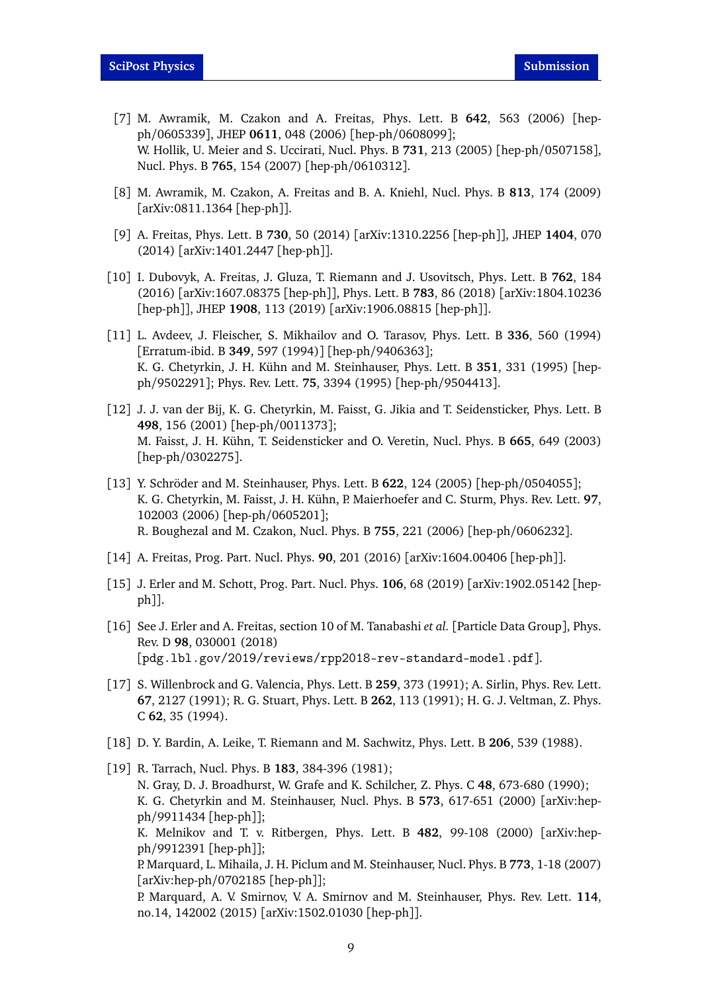- [7] M. Awramik, M. Czakon and A. Freitas, Phys. Lett. B **642**, 563 (2006) [hepph/0605339], JHEP **0611**, 048 (2006) [hep-ph/0608099]; W. Hollik, U. Meier and S. Uccirati, Nucl. Phys. B **731**, 213 (2005) [hep-ph/0507158], Nucl. Phys. B **765**, 154 (2007) [hep-ph/0610312].
- [8] M. Awramik, M. Czakon, A. Freitas and B. A. Kniehl, Nucl. Phys. B **813**, 174 (2009) [arXiv:0811.1364 [hep-ph]].
- <span id="page-8-8"></span>[9] A. Freitas, Phys. Lett. B **730**, 50 (2014) [arXiv:1310.2256 [hep-ph]], JHEP **1404**, 070 (2014) [arXiv:1401.2447 [hep-ph]].
- <span id="page-8-0"></span>[10] I. Dubovyk, A. Freitas, J. Gluza, T. Riemann and J. Usovitsch, Phys. Lett. B **762**, 184 (2016) [arXiv:1607.08375 [hep-ph]], Phys. Lett. B **783**, 86 (2018) [arXiv:1804.10236 [hep-ph]], JHEP **1908**, 113 (2019) [arXiv:1906.08815 [hep-ph]].
- <span id="page-8-1"></span>[11] L. Avdeev, J. Fleischer, S. Mikhailov and O. Tarasov, Phys. Lett. B **336**, 560 (1994) [Erratum-ibid. B **349**, 597 (1994)] [hep-ph/9406363]; K. G. Chetyrkin, J. H. Kühn and M. Steinhauser, Phys. Lett. B **351**, 331 (1995) [hepph/9502291]; Phys. Rev. Lett. **75**, 3394 (1995) [hep-ph/9504413].
- [12] J. J. van der Bij, K. G. Chetyrkin, M. Faisst, G. Jikia and T. Seidensticker, Phys. Lett. B **498**, 156 (2001) [hep-ph/0011373]; M. Faisst, J. H. Kühn, T. Seidensticker and O. Veretin, Nucl. Phys. B **665**, 649 (2003) [hep-ph/0302275].
- <span id="page-8-2"></span>[13] Y. Schröder and M. Steinhauser, Phys. Lett. B **622**, 124 (2005) [hep-ph/0504055]; K. G. Chetyrkin, M. Faisst, J. H. Kühn, P. Maierhoefer and C. Sturm, Phys. Rev. Lett. **97**, 102003 (2006) [hep-ph/0605201]; R. Boughezal and M. Czakon, Nucl. Phys. B **755**, 221 (2006) [hep-ph/0606232].
- <span id="page-8-3"></span>[14] A. Freitas, Prog. Part. Nucl. Phys. **90**, 201 (2016) [arXiv:1604.00406 [hep-ph]].
- [15] J. Erler and M. Schott, Prog. Part. Nucl. Phys. **106**, 68 (2019) [arXiv:1902.05142 [hepph]].
- <span id="page-8-4"></span>[16] See J. Erler and A. Freitas, section 10 of M. Tanabashi *et al.* [Particle Data Group], Phys. Rev. D **98**, 030001 (2018) [pdg.lbl.gov/2019/reviews/rpp2018-rev-standard-model.pdf].
- <span id="page-8-6"></span>[17] S. Willenbrock and G. Valencia, Phys. Lett. B **259**, 373 (1991); A. Sirlin, Phys. Rev. Lett. **67**, 2127 (1991); R. G. Stuart, Phys. Lett. B **262**, 113 (1991); H. G. J. Veltman, Z. Phys. C **62**, 35 (1994).
- <span id="page-8-7"></span>[18] D. Y. Bardin, A. Leike, T. Riemann and M. Sachwitz, Phys. Lett. B **206**, 539 (1988).
- <span id="page-8-5"></span>[19] R. Tarrach, Nucl. Phys. B **183**, 384-396 (1981); N. Gray, D. J. Broadhurst, W. Grafe and K. Schilcher, Z. Phys. C **48**, 673-680 (1990); K. G. Chetyrkin and M. Steinhauser, Nucl. Phys. B **573**, 617-651 (2000) [arXiv:hepph/9911434 [hep-ph]]; K. Melnikov and T. v. Ritbergen, Phys. Lett. B **482**, 99-108 (2000) [arXiv:hepph/9912391 [hep-ph]]; P. Marquard, L. Mihaila, J. H. Piclum and M. Steinhauser, Nucl. Phys. B **773**, 1-18 (2007) [arXiv:hep-ph/0702185 [hep-ph]]; P. Marquard, A. V. Smirnov, V. A. Smirnov and M. Steinhauser, Phys. Rev. Lett. **114**, no.14, 142002 (2015) [arXiv:1502.01030 [hep-ph]].